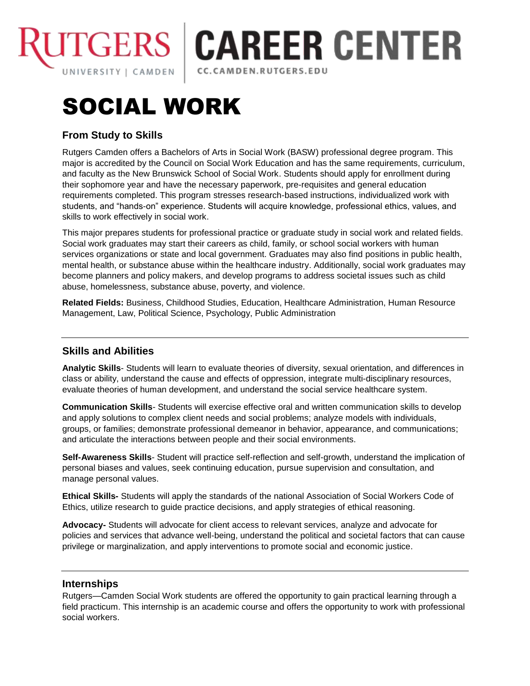

## **TGERS | CAREER CENTER** CC.CAMDEN.RUTGERS.EDU

# SOCIAL WORK

### **From Study to Skills**

Rutgers Camden offers a Bachelors of Arts in Social Work (BASW) professional degree program. This major is accredited by the Council on Social Work Education and has the same requirements, curriculum, and faculty as the New Brunswick School of Social Work. Students should apply for enrollment during their sophomore year and have the necessary paperwork, pre-requisites and general education requirements completed. This program stresses research-based instructions, individualized work with students, and "hands-on" experience. Students will acquire knowledge, professional ethics, values, and skills to work effectively in social work.

This major prepares students for professional practice or graduate study in social work and related fields. Social work graduates may start their careers as child, family, or school social workers with human services organizations or state and local government. Graduates may also find positions in public health, mental health, or substance abuse within the healthcare industry. Additionally, social work graduates may become planners and policy makers, and develop programs to address societal issues such as child abuse, homelessness, substance abuse, poverty, and violence.

**Related Fields:** Business, Childhood Studies, Education, Healthcare Administration, Human Resource Management, Law, Political Science, Psychology, Public Administration

#### **Skills and Abilities**

**Analytic Skills**- Students will learn to evaluate theories of diversity, sexual orientation, and differences in class or ability, understand the cause and effects of oppression, integrate multi-disciplinary resources, evaluate theories of human development, and understand the social service healthcare system.

**Communication Skills**- Students will exercise effective oral and written communication skills to develop and apply solutions to complex client needs and social problems; analyze models with individuals, groups, or families; demonstrate professional demeanor in behavior, appearance, and communications; and articulate the interactions between people and their social environments.

**Self-Awareness Skills**- Student will practice self-reflection and self-growth, understand the implication of personal biases and values, seek continuing education, pursue supervision and consultation, and manage personal values.

**Ethical Skills-** Students will apply the standards of the national Association of Social Workers Code of Ethics, utilize research to guide practice decisions, and apply strategies of ethical reasoning.

**Advocacy-** Students will advocate for client access to relevant services, analyze and advocate for policies and services that advance well-being, understand the political and societal factors that can cause privilege or marginalization, and apply interventions to promote social and economic justice.

#### **Internships**

Rutgers—Camden Social Work students are offered the opportunity to gain practical learning through a field practicum. This internship is an academic course and offers the opportunity to work with professional social workers.